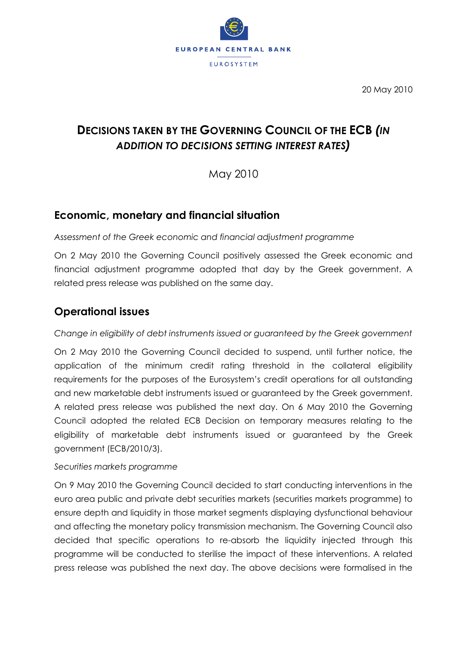

20 May 2010

# **DECISIONS TAKEN BY THE GOVERNING COUNCIL OF THE ECB** *(IN ADDITION TO DECISIONS SETTING INTEREST RATES)*

May 2010

## **Economic, monetary and financial situation**

*Assessment of the Greek economic and financial adjustment programme*

On 2 May 2010 the Governing Council positively assessed the Greek economic and financial adjustment programme adopted that day by the Greek government. A related press release was published on the same day.

## **Operational issues**

#### *Change in eligibility of debt instruments issued or guaranteed by the Greek government*

On 2 May 2010 the Governing Council decided to suspend, until further notice, the application of the minimum credit rating threshold in the collateral eligibility requirements for the purposes of the Eurosystem's credit operations for all outstanding and new marketable debt instruments issued or guaranteed by the Greek government. A related press release was published the next day. On 6 May 2010 the Governing Council adopted the related ECB Decision on temporary measures relating to the eligibility of marketable debt instruments issued or guaranteed by the Greek government (ECB/2010/3).

#### *Securities markets programme*

On 9 May 2010 the Governing Council decided to start conducting interventions in the euro area public and private debt securities markets (securities markets programme) to ensure depth and liquidity in those market segments displaying dysfunctional behaviour and affecting the monetary policy transmission mechanism. The Governing Council also decided that specific operations to re-absorb the liquidity injected through this programme will be conducted to sterilise the impact of these interventions. A related press release was published the next day. The above decisions were formalised in the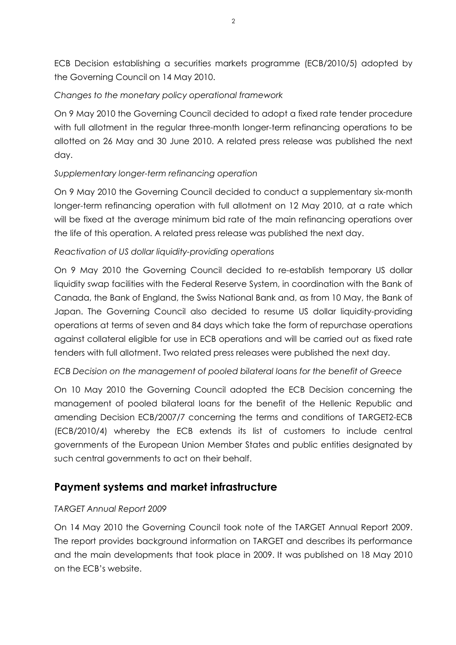ECB Decision establishing a securities markets programme (ECB/2010/5) adopted by the Governing Council on 14 May 2010.

#### *Changes to the monetary policy operational framework*

On 9 May 2010 the Governing Council decided to adopt a fixed rate tender procedure with full allotment in the regular three-month longer-term refinancing operations to be allotted on 26 May and 30 June 2010. A related press release was published the next day.

#### *Supplementary longer-term refinancing operation*

On 9 May 2010 the Governing Council decided to conduct a supplementary six-month longer-term refinancing operation with full allotment on 12 May 2010, at a rate which will be fixed at the average minimum bid rate of the main refinancing operations over the life of this operation. A related press release was published the next day.

#### *Reactivation of US dollar liquidity-providing operations*

On 9 May 2010 the Governing Council decided to re-establish temporary US dollar liquidity swap facilities with the Federal Reserve System, in coordination with the Bank of Canada, the Bank of England, the Swiss National Bank and, as from 10 May, the Bank of Japan. The Governing Council also decided to resume US dollar liquidity-providing operations at terms of seven and 84 days which take the form of repurchase operations against collateral eligible for use in ECB operations and will be carried out as fixed rate tenders with full allotment. Two related press releases were published the next day.

#### *ECB Decision on the management of pooled bilateral loans for the benefit of Greece*

On 10 May 2010 the Governing Council adopted the ECB Decision concerning the management of pooled bilateral loans for the benefit of the Hellenic Republic and amending Decision ECB/2007/7 concerning the terms and conditions of TARGET2-ECB (ECB/2010/4) whereby the ECB extends its list of customers to include central governments of the European Union Member States and public entities designated by such central governments to act on their behalf.

### **Payment systems and market infrastructure**

#### *TARGET Annual Report 2009*

On 14 May 2010 the Governing Council took note of the TARGET Annual Report 2009. The report provides background information on TARGET and describes its performance and the main developments that took place in 2009. It was published on 18 May 2010 on the ECB's website.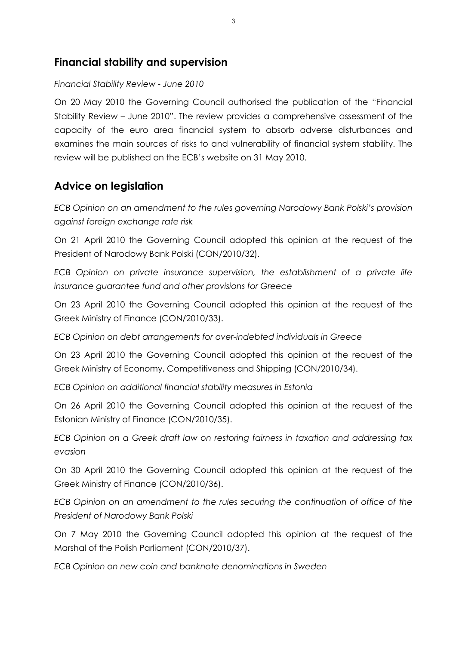### **Financial stability and supervision**

#### *Financial Stability Review - June 2010*

On 20 May 2010 the Governing Council authorised the publication of the "Financial Stability Review – June 2010". The review provides a comprehensive assessment of the capacity of the euro area financial system to absorb adverse disturbances and examines the main sources of risks to and vulnerability of financial system stability. The review will be published on the ECB's website on 31 May 2010.

## **Advice on legislation**

*ECB Opinion on an amendment to the rules governing Narodowy Bank Polski's provision against foreign exchange rate risk*

On 21 April 2010 the Governing Council adopted this opinion at the request of the President of Narodowy Bank Polski (CON/2010/32).

*ECB Opinion on private insurance supervision, the establishment of a private life insurance guarantee fund and other provisions for Greece*

On 23 April 2010 the Governing Council adopted this opinion at the request of the Greek Ministry of Finance (CON/2010/33).

*ECB Opinion on debt arrangements for over-indebted individuals in Greece*

On 23 April 2010 the Governing Council adopted this opinion at the request of the Greek Ministry of Economy, Competitiveness and Shipping (CON/2010/34).

*ECB Opinion on additional financial stability measures in Estonia*

On 26 April 2010 the Governing Council adopted this opinion at the request of the Estonian Ministry of Finance (CON/2010/35).

*ECB Opinion on a Greek draft law on restoring fairness in taxation and addressing tax evasion*

On 30 April 2010 the Governing Council adopted this opinion at the request of the Greek Ministry of Finance (CON/2010/36).

*ECB Opinion on an amendment to the rules securing the continuation of office of the President of Narodowy Bank Polski*

On 7 May 2010 the Governing Council adopted this opinion at the request of the Marshal of the Polish Parliament (CON/2010/37).

*ECB Opinion on new coin and banknote denominations in Sweden*